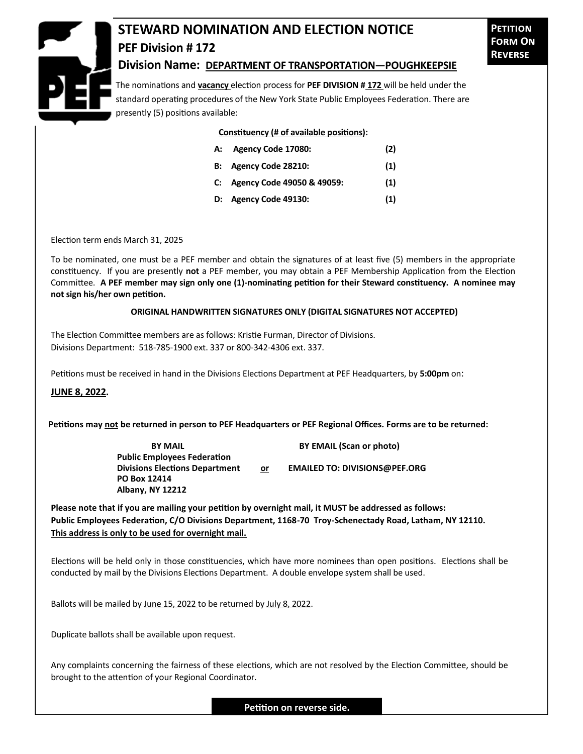

## **STEWARD NOMINATION AND ELECTION NOTICE PEF Division # 172**

**Petition Form On Reverse**

## **Division Name: DEPARTMENT OF TRANSPORTATION—POUGHKEEPSIE**

The nominations and **vacancy** election process for **PEF DIVISION # 172** will be held under the standard operating procedures of the New York State Public Employees Federation. There are presently (5) positions available:

## **Constituency (# of available positions):**

| A: Agency Code 17080:         | (2) |
|-------------------------------|-----|
| B: Agency Code 28210:         | (1) |
| C: Agency Code 49050 & 49059: | (1) |
| D: Agency Code 49130:         | (1) |
|                               |     |

Election term ends March 31, 2025

To be nominated, one must be a PEF member and obtain the signatures of at least five (5) members in the appropriate constituency. If you are presently **not** a PEF member, you may obtain a PEF Membership Application from the Election Committee. **A PEF member may sign only one (1)-nominating petition for their Steward constituency. A nominee may not sign his/her own petition.**

## **ORIGINAL HANDWRITTEN SIGNATURES ONLY (DIGITAL SIGNATURES NOT ACCEPTED)**

The Election Committee members are as follows: Kristie Furman, Director of Divisions. Divisions Department: 518-785-1900 ext. 337 or 800-342-4306 ext. 337.

Petitions must be received in hand in the Divisions Elections Department at PEF Headquarters, by **5:00pm** on:

**JUNE 8, 2022.**

**Petitions may not be returned in person to PEF Headquarters or PEF Regional Offices. Forms are to be returned:**

**Public Employees Federation PO Box 12414 Albany, NY 12212**

**BY MAIL BY EMAIL (Scan or photo)** 

**Divisions Elections Department or EMAILED TO: DIVISIONS@PEF.ORG**

**Please note that if you are mailing your petition by overnight mail, it MUST be addressed as follows: Public Employees Federation, C/O Divisions Department, 1168-70 Troy-Schenectady Road, Latham, NY 12110. This address is only to be used for overnight mail.**

Elections will be held only in those constituencies, which have more nominees than open positions. Elections shall be conducted by mail by the Divisions Elections Department. A double envelope system shall be used.

Ballots will be mailed by June 15, 2022 to be returned by July 8, 2022.

Duplicate ballots shall be available upon request.

Any complaints concerning the fairness of these elections, which are not resolved by the Election Committee, should be brought to the attention of your Regional Coordinator.

**Petition on reverse side.**